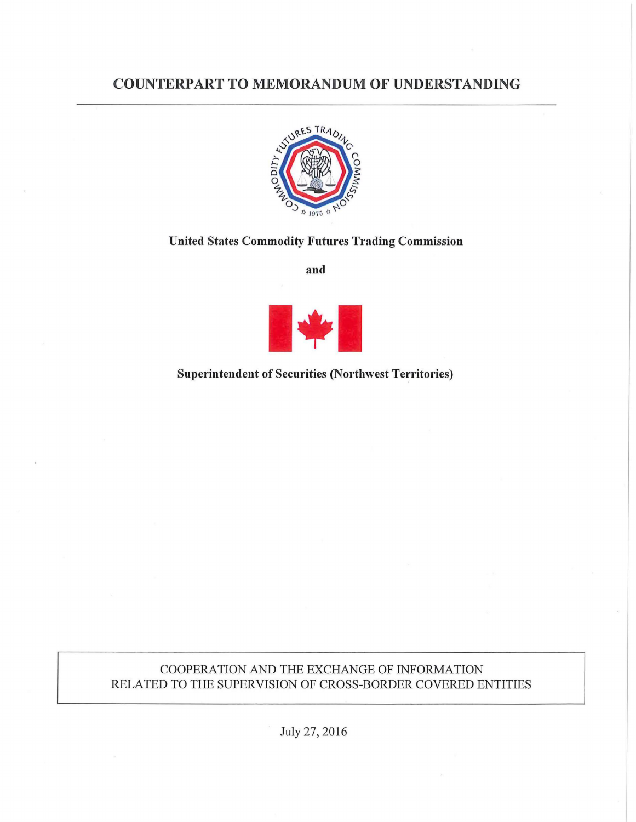# COUNTERPART TO MEMORANDUM OF UNDERSTANDING



## United States Commodity Futures Trading Commission

and



Superintendent of Securities (Northwest Territories)

## COOPERATION AND THE EXCHANGE OF INFORMATION RELATED TO THE SUPERVISION OF CROSS-BORDER COVERED ENTITIES

July 27, 2016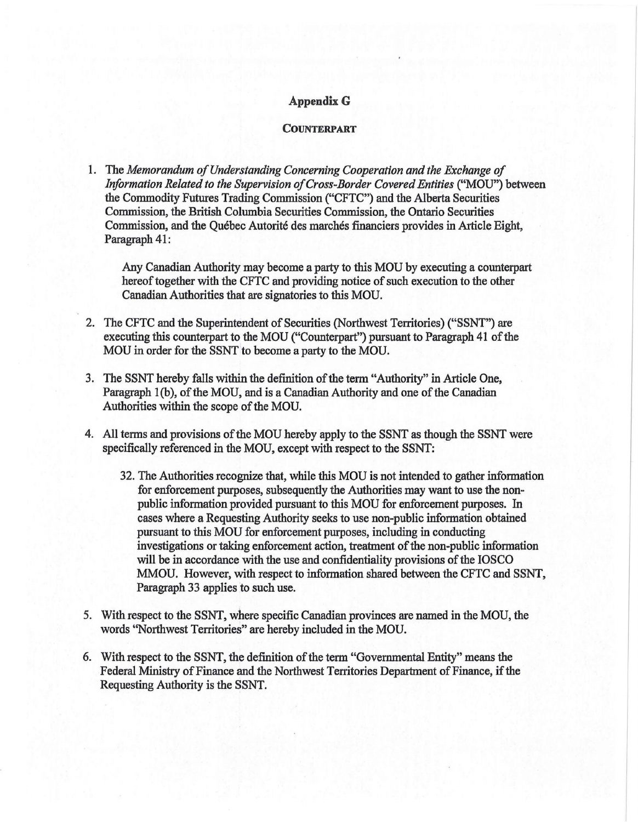#### **Appendix G**

#### **COUNTERPART**

1. The *Memorandum ofUnderstanding Concerning Cooperation and the Exchange of Information Related to the Supervision ofCross-Border Covered Entities* ("MOU") between the Commodity Futures Trading Commission ("CFTC") and the Alberta Securities Commission, the British Columbia Securities Commission, the Ontario Securities Commission, and the Quebec Autorite des marches financiers provides in Article Eight, Paragraph 41:

Any Canadian Authority may become a party to this MOU by executing a counterpart hereof together with the CFTC and providing notice of such execution to the other Canadian Authorities that are signatories to this MOU.

- 2. The CFTC and the Superintendent of Securities (Northwest Territories) ("SSNT") are executing this counterpart to the MOU ("Counterpart") pursuant to Paragraph 41 of the MOU in order for the SSNT to become a party to the MOU.
- 3. The SSNT hereby falls within the definition of the term "Authority" in Article One, Paragraph 1(b), of the MOU, and is a Canadian Authority and one of the Canadian Authorities within the scope of the MOU.
- 4. All terms and provisions of the MOU hereby apply to the SSNT as though the SSNT were specifically referenced in the MOU, except with respect to the SSNT:
	- 32. The Authorities recognize that, while this MOU is not intended to gather information for enforcement purposes, subsequently the Authorities may want to use the nonpublic information provided pursuant to this MOU for enforcement purposes. In cases where a Requesting Authority seeks to use non-public information obtained pursuant to this MOU for enforcement purposes, including in conducting investigations or taking enforcement action, treatment of the non-public information will be in accordance with the use and confidentiality provisions of the IOSCO MMOU. However, with respect to information shared between the CFTC and SSNT, Paragraph 33 applies to such use.
- 5. With respect to the SSNT, where specific Canadian provinces are named in the MOU, the words ''Northwest Territories" are hereby included in the MOU.
- 6. With respect to the SSNT, the definition of the term "Governmental Entity" means the Federal Ministry of Finance and the Northwest Territories Department of Finance, if the Requesting Authority is the SSNT.